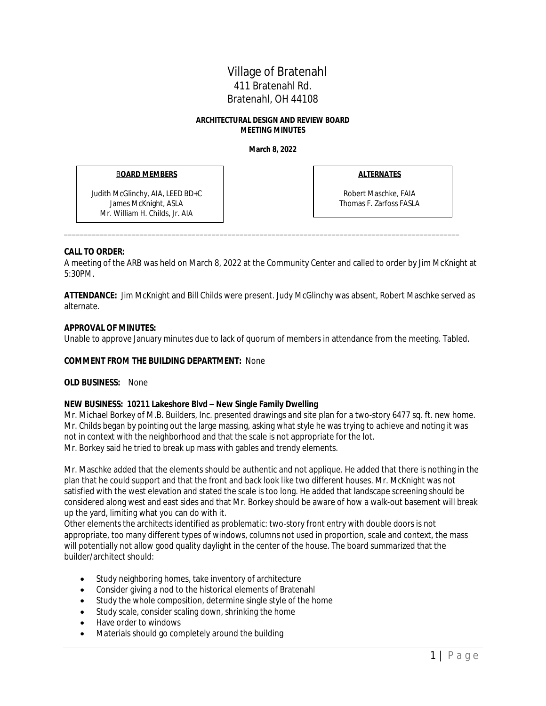# Village of Bratenahl 411 Bratenahl Rd. Bratenahl, OH 44108

#### **ARCHITECTURAL DESIGN AND REVIEW BOARD MEETING MINUTES**

**March 8, 2022**

## B**OARD MEMBERS**

Judith McGlinchy, AIA, LEED BD+C James McKnight, ASLA Mr. William H. Childs, Jr. AIA

**ALTERNATES**

Robert Maschke, FAIA Thomas F. Zarfoss FASLA

## **CALL TO ORDER:**

A meeting of the ARB was held on March 8, 2022 at the Community Center and called to order by Jim McKnight at 5:30PM.

\_\_\_\_\_\_\_\_\_\_\_\_\_\_\_\_\_\_\_\_\_\_\_\_\_\_\_\_\_\_\_\_\_\_\_\_\_\_\_\_\_\_\_\_\_\_\_\_\_\_\_\_\_\_\_\_\_\_\_\_\_\_\_\_\_\_\_\_\_\_\_\_\_\_\_\_\_\_\_\_\_\_\_\_\_\_\_\_\_\_\_\_\_\_\_\_\_\_\_

**ATTENDANCE:** Jim McKnight and Bill Childs were present. Judy McGlinchy was absent, Robert Maschke served as alternate.

## **APPROVAL OF MINUTES:**

Unable to approve January minutes due to lack of quorum of members in attendance from the meeting. Tabled.

### **COMMENT FROM THE BUILDING DEPARTMENT:** None

### **OLD BUSINESS:** None

### **NEW BUSINESS: 10211 Lakeshore Blvd – New Single Family Dwelling**

Mr. Michael Borkey of M.B. Builders, Inc. presented drawings and site plan for a two-story 6477 sq. ft. new home. Mr. Childs began by pointing out the large massing, asking what style he was trying to achieve and noting it was not in context with the neighborhood and that the scale is not appropriate for the lot. Mr. Borkey said he tried to break up mass with gables and trendy elements.

Mr. Maschke added that the elements should be authentic and not applique. He added that there is nothing in the plan that he could support and that the front and back look like two different houses. Mr. McKnight was not satisfied with the west elevation and stated the scale is too long. He added that landscape screening should be considered along west and east sides and that Mr. Borkey should be aware of how a walk-out basement will break up the yard, limiting what you can do with it.

Other elements the architects identified as problematic: two-story front entry with double doors is not appropriate, too many different types of windows, columns not used in proportion, scale and context, the mass will potentially not allow good quality daylight in the center of the house. The board summarized that the builder/architect should:

- Study neighboring homes, take inventory of architecture
- Consider giving a nod to the historical elements of Bratenahl
- Study the whole composition, determine single style of the home
- Study scale, consider scaling down, shrinking the home
- Have order to windows
- Materials should go completely around the building